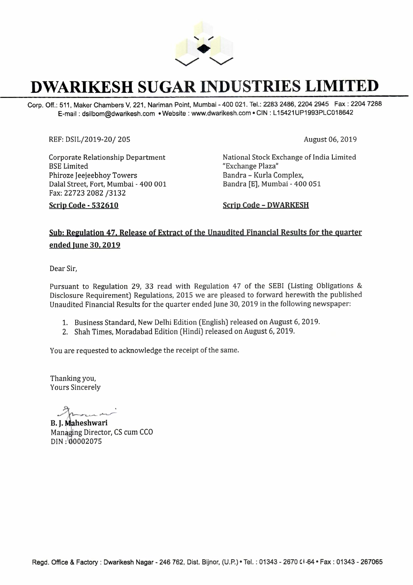

# **DWARIKESH SUGAR INDUSTRIES LIMITED**

Corp. Off.: 511, Maker Chambers V, 221, Nariman Point, Mumbai - 400 021. Tel.: 2283 2486, 2204 2945 Fax : 2204 7288 E-mail: dsilbom@dwarikesh.com •Website: www.dwarikesh.com • CIN: L 15421UP1993PLC018642

REF: DSIL/2019-20/ 205 August 06, 2019

**Scrip Code · 532610** 

Corporate Relationship Department BSE Limited Phiroze Jeejeebhoy Towers Dalal Street, Fort, Mumbai - 400 001 Fax: 22723 2082 /3132

Scrip Code - DWARKESH

Bandra - Kurla Complex, Bandra [E], Mumbai - 400 051

"Exchange Plaza"

National Stock Exchange of India Limited

### Sub: Regulation 47, Release of Extract of the Unaudited Financial Results for the quarter **ended June 30, 2019**

Dear Sir,

Pursuant to Regulation 29, 33 read with Regulation 47 of the SEBI (Listing Obligations & Disclosure Requirement) Regulations, 2015 we are pleased to forward herewith the published Unaudited Financial Results for the quarter ended June 30, 2019 in the following newspaper:

- 1. Business Standard, New Delhi Edition (English) released on August 6, 2019.
- 2. Shah Times, Moradabad Edition (Hindi) released on August 6, 2019.

You are requested to acknowledge the receipt of the same.

Thanking you, Yours Sincerely

Sincerely<br>
aheshwari<br>
ing Dinatan CS aw

**B. I. Maheshwari** Managing Director, CS cum CCO DIN:\ 0002075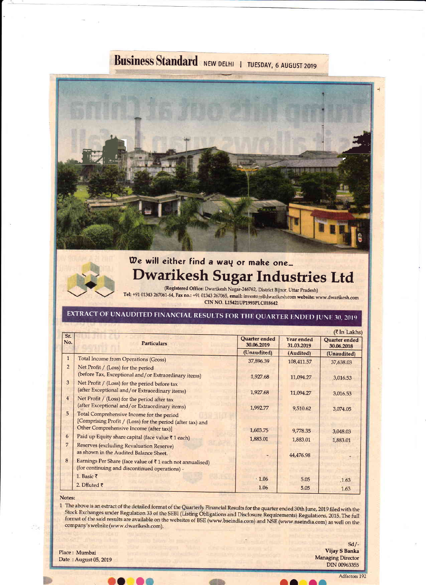# **Business Standard NEW DELHI | TUESDAY, 6 AUGUST 2019**



# We will either find a way or make one... Dwarikesh Sugar Industries Ltd

(Registered Office: Dwarikesh Nagar-246762, District Bijnor, Uttar Pradesh) Tel: +91 01343 267061-64, Fax no.: +91 01343 267065, email: investors@dwarikesh.com website: www.dwarikesh.com CIN NO. L15421UP1993PLC018642

## EXTRACT OF UNAUDITED FINANCIAL RESULTS FOR THE QUARTER ENDED JUNE 30, 2019

| Sr.            | <b>(₹In Lakhs)</b>                                         |                             |                          |                             |  |  |  |
|----------------|------------------------------------------------------------|-----------------------------|--------------------------|-----------------------------|--|--|--|
| No.            | <b>Particulars</b>                                         | Quarter ended<br>30.06.2019 | Year ended<br>31.03.2019 | Quarter ended<br>30.06.2018 |  |  |  |
|                |                                                            | (Unaudited)                 | (Audited)                | (Unaudited)                 |  |  |  |
| $\mathbf{1}$   | <b>Total Income from Operations (Gross)</b>                | 37,896.39                   | 108,411.57               | 37,638.03                   |  |  |  |
| $\overline{2}$ | Net Profit / (Loss) for the period                         |                             |                          |                             |  |  |  |
|                | (before Tax, Exceptional and/or Extraordinary items)       | 1,927.68                    | 11,094.27                | 3,016.53                    |  |  |  |
| 3              | Net Profit / (Loss) for the period before tax              |                             |                          |                             |  |  |  |
|                | (after Exceptional and/or Extraordinary items)             | 1,927.68                    | 11,094.27                | 3,016.53                    |  |  |  |
| $\overline{4}$ | Net Profit / (Loss) for the period after tax               |                             |                          |                             |  |  |  |
|                | (after Exceptional and/or Extraordinary items)             | 1,992.77                    | 9,510.62                 | 3,074.05                    |  |  |  |
| 5              | Total Comprehensive Income for the period                  |                             |                          |                             |  |  |  |
|                | [Comprising Profit / (Loss) for the period (after tax) and |                             |                          |                             |  |  |  |
|                | Other Comprehensive Income (after tax)]                    | 1,603.75                    | 9,778.35                 | 3,048.03                    |  |  |  |
| 6              | Paid up Equity share capital (face value ₹1 each)          | 1,883.01                    | 1,883.01                 | 1,883.01                    |  |  |  |
| 7              | Reserves (excluding Revaluation Reserve)                   |                             |                          |                             |  |  |  |
|                | as shown in the Audited Balance Sheet.                     |                             | 44,476.98                |                             |  |  |  |
| 8              | Earnings Per Share (face value of ₹1 each not annualised)  |                             |                          |                             |  |  |  |
|                | (for continuing and discontinued operations) -             |                             |                          |                             |  |  |  |
|                | 1. Basic $\bar{z}$                                         | .1.06                       | 5.05                     | .1.63                       |  |  |  |
|                | 2. Diluted $\bar{\tau}$                                    | 1.06                        | 5.05                     |                             |  |  |  |
|                |                                                            |                             |                          | 1.63                        |  |  |  |

#### Notes:

1 The above is an extract of the detailed format of the Quarterly Financial Results for the quarter ended 30th June, 2019 filed with the Stock Exchanges under Regulation 33 of the SEBI (Listing Obligations and Disclosure Requirements) Regulations, 2015. The full format of the said results are available on the websites of BSE (www.bseindia.com) and NSE (www.nseindia.com) as well on the company's website (www.dwarikesh.com).

Place: Mumbai Date: August 05, 2019

 $Sd$ -Vijay S Banka **Managing Director DIN 00963355** 

Adfactors 192